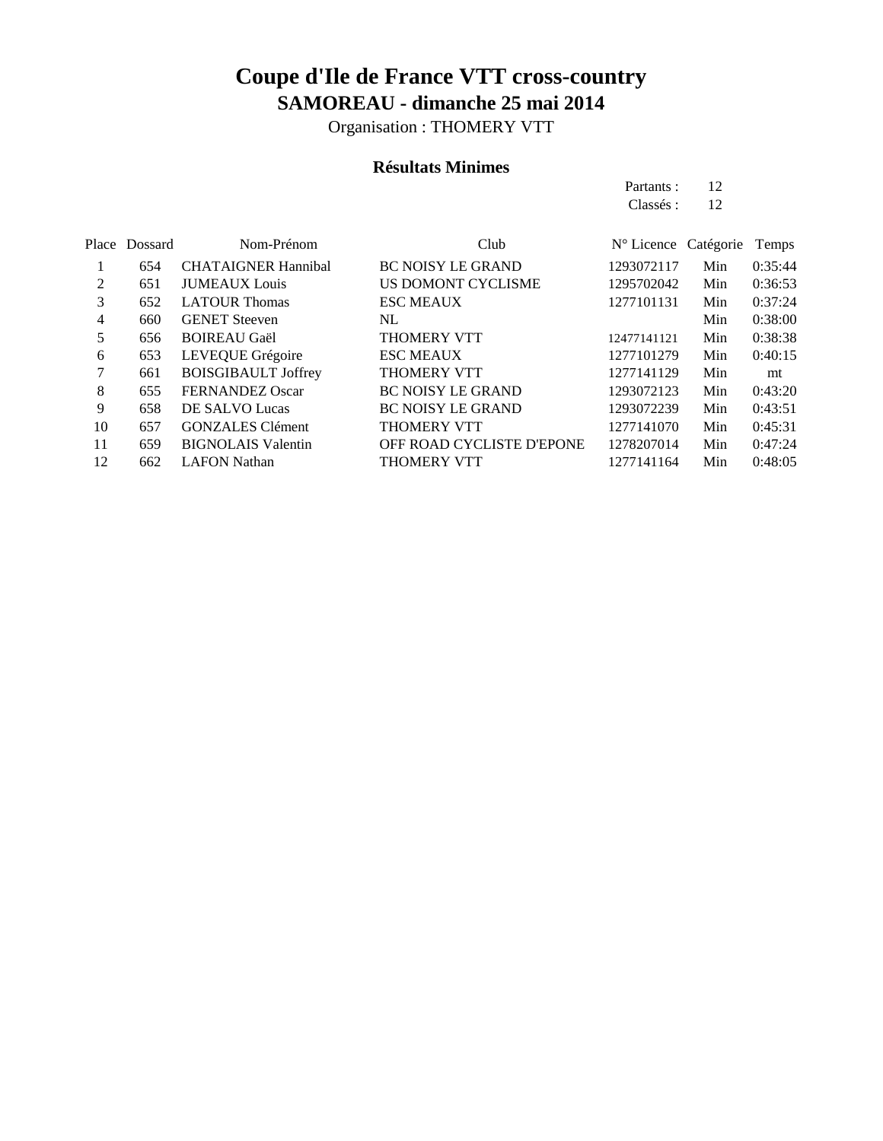Organisation : THOMERY VTT

#### **Résultats Minimes**

Partants : 12 Classés : 12

|    | Place Dossard | Nom-Prénom                 | Club                      | N° Licence Catégorie |     | Temps   |
|----|---------------|----------------------------|---------------------------|----------------------|-----|---------|
|    | 654           | <b>CHATAIGNER Hannibal</b> | <b>BC NOISY LE GRAND</b>  | 1293072117           | Min | 0:35:44 |
| 2  | 651           | <b>JUMEAUX</b> Louis       | US DOMONT CYCLISME        | 1295702042           | Min | 0:36:53 |
| 3  | 652           | <b>LATOUR Thomas</b>       | <b>ESC MEAUX</b>          | 1277101131           | Min | 0:37:24 |
| 4  | 660           | <b>GENET</b> Steeven       | NL.                       |                      | Min | 0:38:00 |
| 5  | 656           | <b>BOIREAU Gaël</b>        | <b>THOMERY VTT</b>        | 12477141121          | Min | 0:38:38 |
| 6  | 653           | LEVEQUE Grégoire           | <b>ESC MEAUX</b>          | 1277101279           | Min | 0:40:15 |
| 7  | 661           | <b>BOISGIBAULT Joffrey</b> | <b>THOMERY VTT</b>        | 1277141129           | Min | mt      |
| 8  | 655           | <b>FERNANDEZ Oscar</b>     | <b>BC NOISY LE GRAND</b>  | 1293072123           | Min | 0:43:20 |
| 9  | 658           | DE SALVO Lucas             | <b>BC NOISY LE GRAND</b>  | 1293072239           | Min | 0:43:51 |
| 10 | 657           | <b>GONZALES</b> Clément    | <b>THOMERY VTT</b>        | 1277141070           | Min | 0:45:31 |
| 11 | 659           | <b>BIGNOLAIS Valentin</b>  | OFF ROAD CYCLISTE D'EPONE | 1278207014           | Min | 0:47:24 |
| 12 | 662           | <b>LAFON Nathan</b>        | <b>THOMERY VTT</b>        | 1277141164           | Min | 0:48:05 |
|    |               |                            |                           |                      |     |         |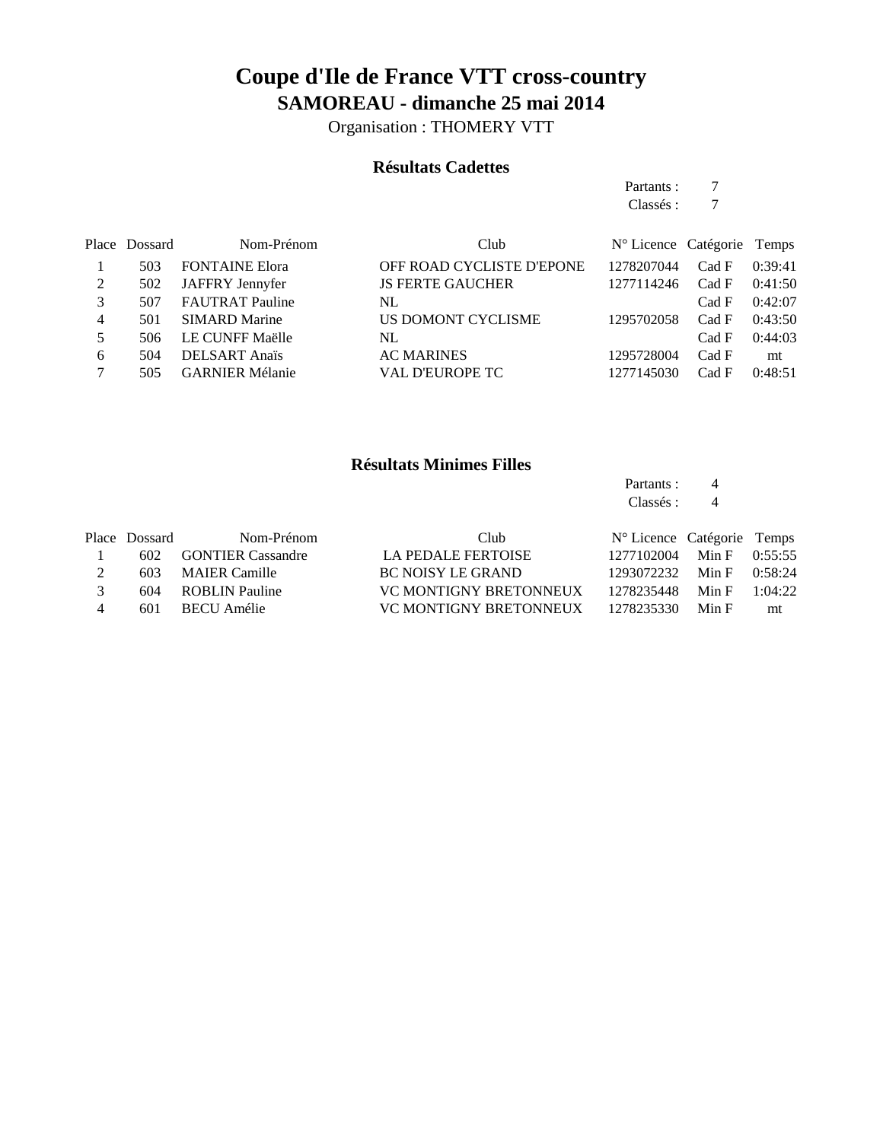Organisation : THOMERY VTT

### **Résultats Cadettes**

Partants : 7 Classés : 7

|   | Place Dossard | Nom-Prénom             | Club                      | N° Licence Catégorie Temps |       |         |
|---|---------------|------------------------|---------------------------|----------------------------|-------|---------|
|   | 503           | <b>FONTAINE Elora</b>  | OFF ROAD CYCLISTE D'EPONE | 1278207044                 | Cad F | 0:39:41 |
|   | 502           | JAFFRY Jennyfer        | <b>JS FERTE GAUCHER</b>   | 1277114246                 | Cad F | 0:41:50 |
|   | 507           | <b>FAUTRAT Pauline</b> | NL                        |                            | Cad F | 0:42:07 |
| 4 | 501           | <b>SIMARD Marine</b>   | US DOMONT CYCLISME        | 1295702058                 | Cad F | 0:43:50 |
| 5 | 506           | LE CUNFF Maëlle        | NL                        |                            | Cad F | 0:44:03 |
| 6 | 504           | <b>DELSART</b> Anaïs   | <b>AC MARINES</b>         | 1295728004                 | Cad F | mt      |
|   | 505           | <b>GARNIER Mélanie</b> | <b>VAL D'EUROPE TC</b>    | 1277145030                 | Cad F | 0:48:51 |

### **Résultats Minimes Filles**

Partants : 4 Classés: 4

|               | Place Dossard | Nom-Prénom            | Club.                    | N° Licence Catégorie Temps |                 |         |
|---------------|---------------|-----------------------|--------------------------|----------------------------|-----------------|---------|
|               |               | 602 GONTIER Cassandre | LA PEDALE FERTOISE       | 1277102004                 | Min F $0:55:55$ |         |
| 2             | 603           | <b>MAIER Camille</b>  | <b>BC NOISY LE GRAND</b> | 1293072232                 | Min F $0:58:24$ |         |
| $\mathcal{R}$ | 604           | ROBLIN Pauline        | VC MONTIGNY BRETONNEUX   | 1278235448                 | Min F           | 1:04:22 |
| 4             | 601           | BECU Amélie           | VC MONTIGNY BRETONNEUX   | 1278235330                 | Min F           | mt      |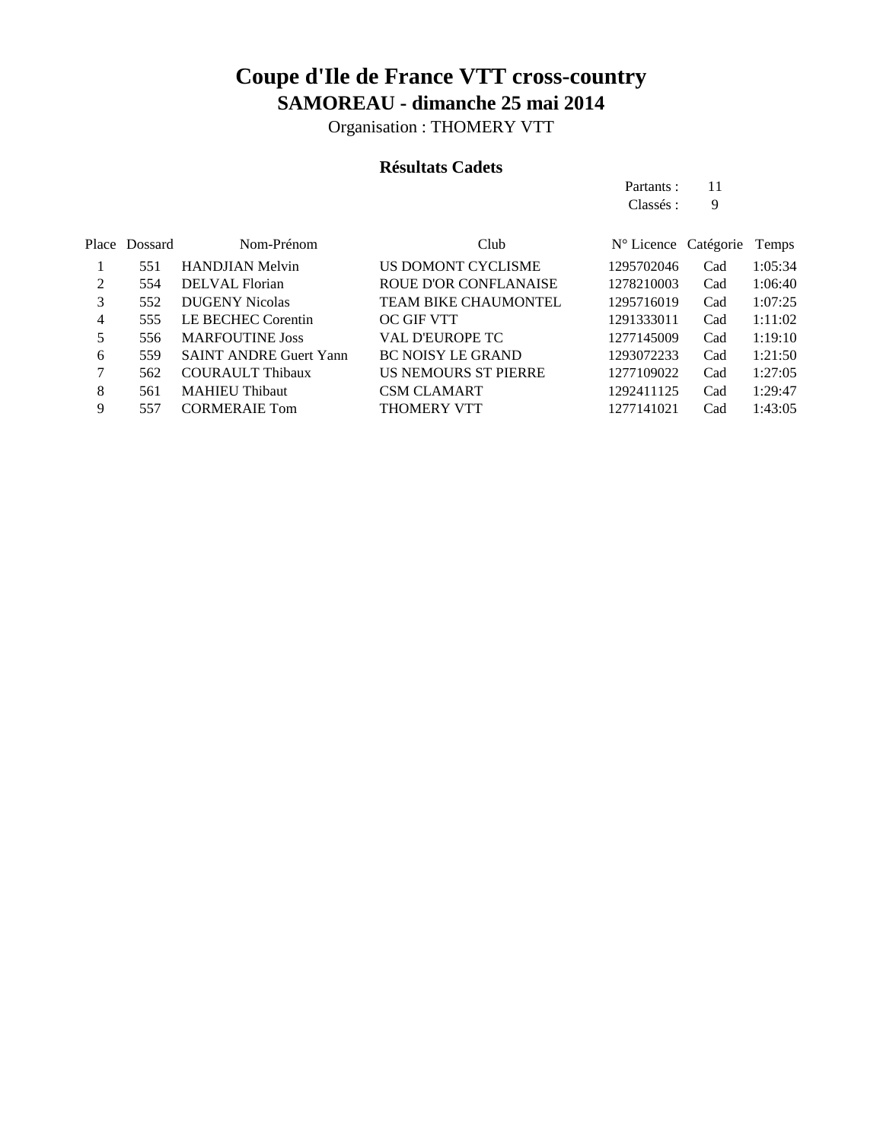Organisation : THOMERY VTT

### **Résultats Cadets**

Partants : 11 Classés : 9

|   | Place Dossard | Nom-Prénom                    | Club                         | N° Licence Catégorie |     | Temps   |
|---|---------------|-------------------------------|------------------------------|----------------------|-----|---------|
|   | 551           | <b>HANDJIAN Melvin</b>        | US DOMONT CYCLISME           | 1295702046           | Cad | 1:05:34 |
| 2 | 554           | DELVAL Florian                | <b>ROUE D'OR CONFLANAISE</b> | 1278210003           | Cad | 1:06:40 |
| 3 | 552           | <b>DUGENY Nicolas</b>         | <b>TEAM BIKE CHAUMONTEL</b>  | 1295716019           | Cad | 1:07:25 |
| 4 | 555           | LE BECHEC Corentin            | OC GIF VTT                   | 1291333011           | Cad | 1:11:02 |
| 5 | 556           | <b>MARFOUTINE Joss</b>        | <b>VAL D'EUROPE TC</b>       | 1277145009           | Cad | 1:19:10 |
| 6 | 559           | <b>SAINT ANDRE Guert Yann</b> | <b>BC NOISY LE GRAND</b>     | 1293072233           | Cad | 1:21:50 |
|   | 562           | <b>COURAULT Thibaux</b>       | US NEMOURS ST PIERRE         | 1277109022           | Cad | 1:27:05 |
| 8 | 561           | <b>MAHIEU Thibaut</b>         | <b>CSM CLAMART</b>           | 1292411125           | Cad | 1:29:47 |
| 9 | 557           | <b>CORMERAIE Tom</b>          | <b>THOMERY VTT</b>           | 1277141021           | Cad | 1:43:05 |
|   |               |                               |                              |                      |     |         |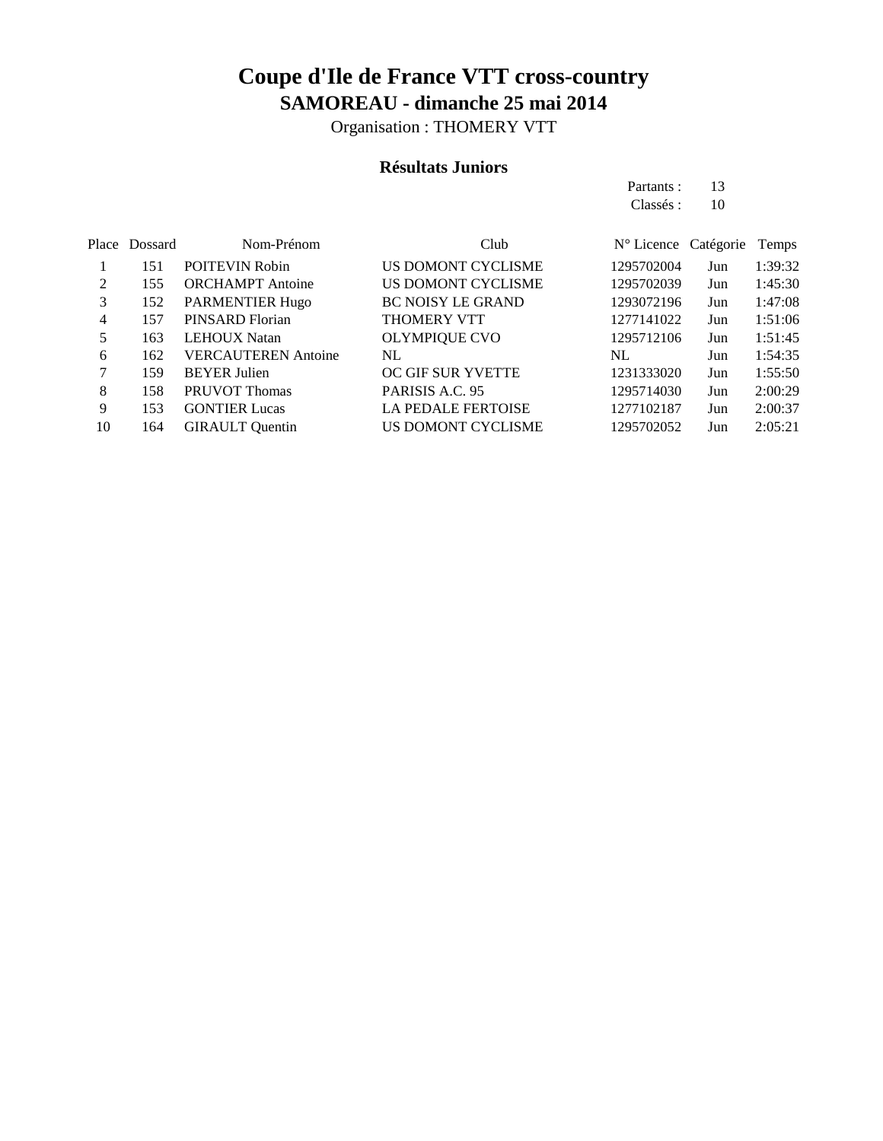Organisation : THOMERY VTT

### **Résultats Juniors**

Partants : 13 Classés : 10

|    | Place Dossard | Nom-Prénom                 | Club                      | N° Licence Catégorie |     | Temps   |
|----|---------------|----------------------------|---------------------------|----------------------|-----|---------|
|    | 151           | <b>POITEVIN Robin</b>      | US DOMONT CYCLISME        | 1295702004           | Jun | 1:39:32 |
| 2  | 155           | <b>ORCHAMPT</b> Antoine    | US DOMONT CYCLISME        | 1295702039           | Jun | 1:45:30 |
| 3  | 152           | <b>PARMENTIER Hugo</b>     | <b>BC NOISY LE GRAND</b>  | 1293072196           | Jun | 1:47:08 |
| 4  | 157           | PINSARD Florian            | <b>THOMERY VTT</b>        | 1277141022           | Jun | 1:51:06 |
| 5  | 163           | <b>LEHOUX</b> Natan        | <b>OLYMPIQUE CVO</b>      | 1295712106           | Jun | 1:51:45 |
| 6  | 162           | <b>VERCAUTEREN</b> Antoine | NL                        | NL                   | Jun | 1:54:35 |
|    | 159           | <b>BEYER Julien</b>        | <b>OC GIF SUR YVETTE</b>  | 1231333020           | Jun | 1:55:50 |
| 8  | 158           | <b>PRUVOT Thomas</b>       | PARISIS A.C. 95           | 1295714030           | Jun | 2:00:29 |
| 9  | 153           | <b>GONTIER Lucas</b>       | <b>LA PEDALE FERTOISE</b> | 1277102187           | Jun | 2:00:37 |
| 10 | 164           | <b>GIRAULT</b> Quentin     | US DOMONT CYCLISME        | 1295702052           | Jun | 2:05:21 |
|    |               |                            |                           |                      |     |         |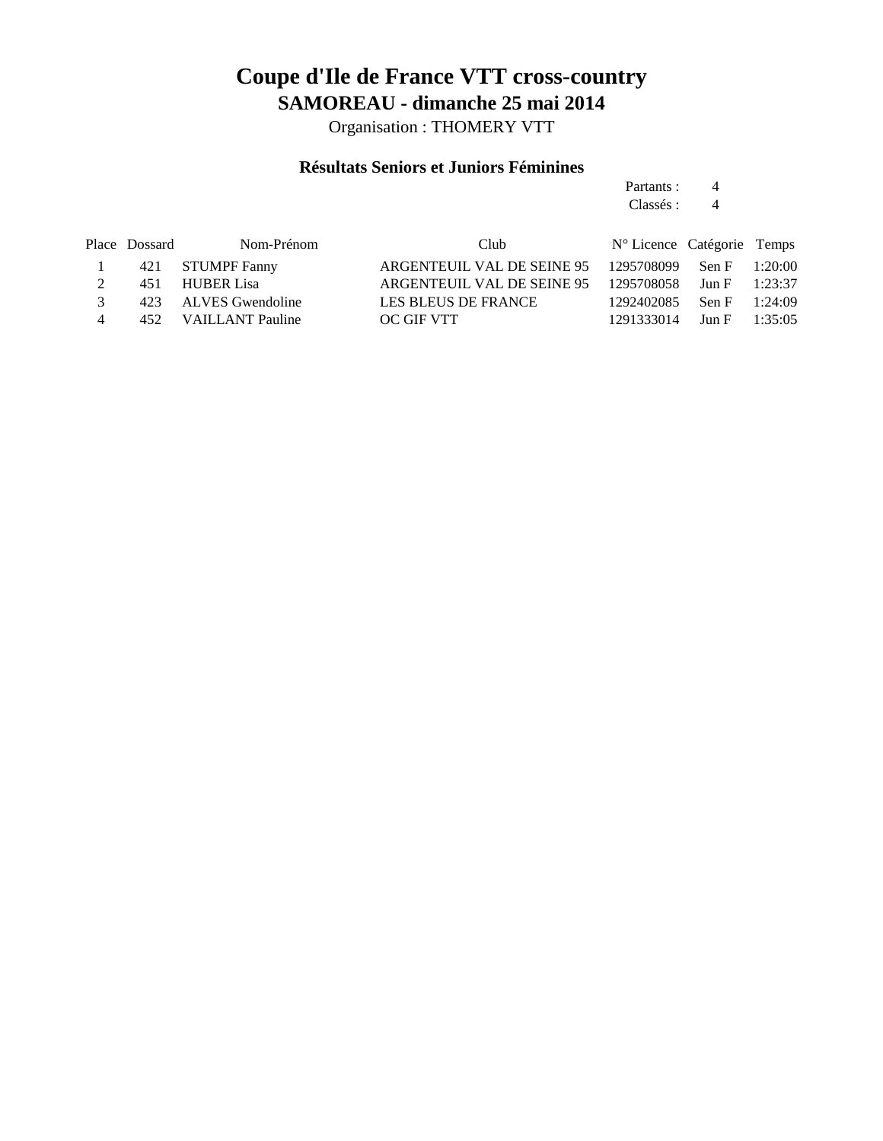Organisation : THOMERY VTT

### **Résultats Seniors et Juniors Féminines**

Partants : 4 Classés : 4

|               | Place Dossard | Nom-Prénom           | Club.                                               | N° Licence Catégorie Temps   |                 |  |
|---------------|---------------|----------------------|-----------------------------------------------------|------------------------------|-----------------|--|
|               |               | 421 STUMPF Fanny     | ARGENTEUIL VAL DE SEINE 95 1295708099 Sen F 1:20:00 |                              |                 |  |
|               |               | 451 HUBER Lisa       | ARGENTEUIL VAL DE SEINE 95 1295708058 Jun F 1:23:37 |                              |                 |  |
| $\mathcal{R}$ |               | 423 ALVES Gwendoline | LES BLEUS DE FRANCE                                 | 1292402085                   | Sen F $1:24:09$ |  |
| 4             |               | 452 VAILLANT Pauline | OC GIF VTT                                          | $1291333014$ Jun F $1:35:05$ |                 |  |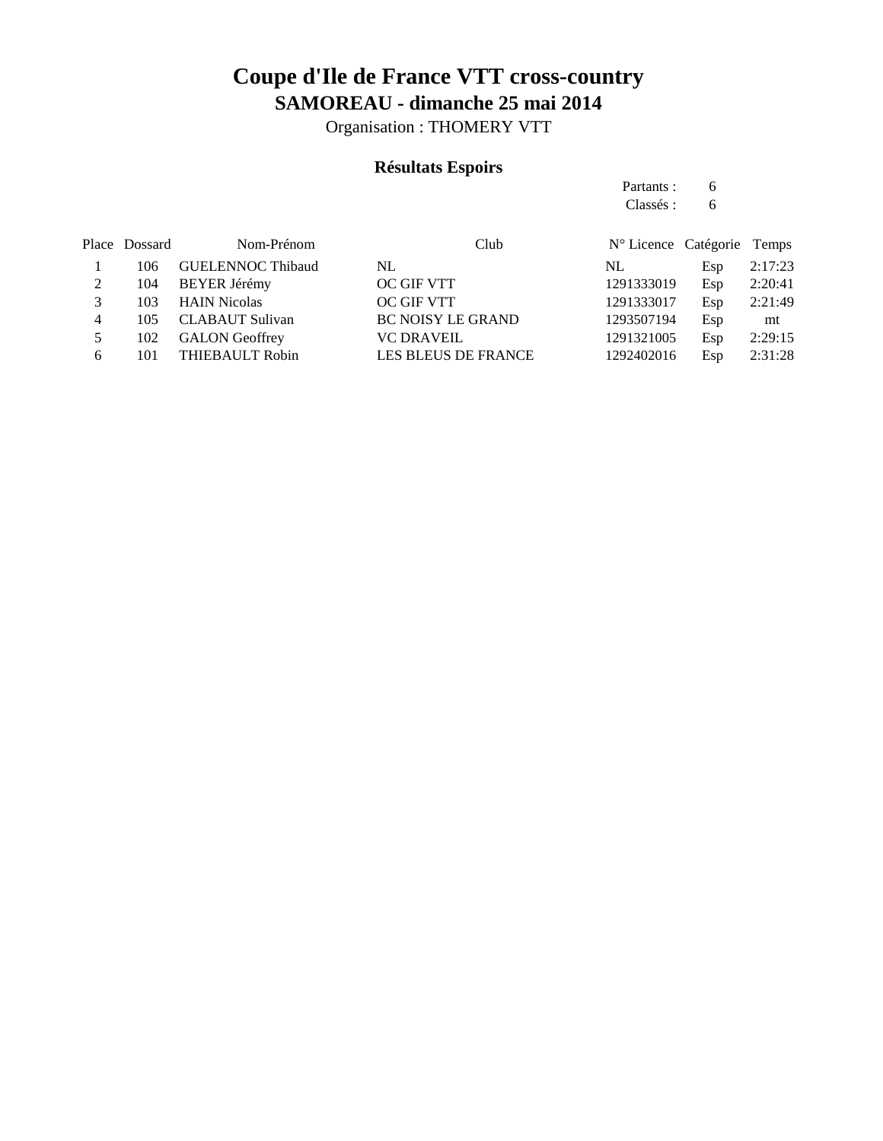Organisation : THOMERY VTT

### **Résultats Espoirs**

Partants : 6 Classés : 6

|   | Place Dossard | Nom-Prénom               | Club                       | N° Licence Catégorie Temps |     |         |
|---|---------------|--------------------------|----------------------------|----------------------------|-----|---------|
|   | 106           | <b>GUELENNOC Thibaud</b> | NL                         | NL.                        | Esp | 2:17:23 |
|   | 104           | <b>BEYER Jérémy</b>      | OC GIF VTT                 | 1291333019                 | Esp | 2:20:41 |
|   | 103           | <b>HAIN Nicolas</b>      | OC GIF VTT                 | 1291333017                 | Esp | 2:21:49 |
| 4 | 105           | <b>CLABAUT Sulivan</b>   | <b>BC NOISY LE GRAND</b>   | 1293507194                 | Esp | mt      |
|   | 102           | <b>GALON</b> Geoffrey    | <b>VC DRAVEIL</b>          | 1291321005                 | Esp | 2:29:15 |
| 6 | 101           | THIEBAULT Robin          | <b>LES BLEUS DE FRANCE</b> | 1292402016                 | Esp | 2:31:28 |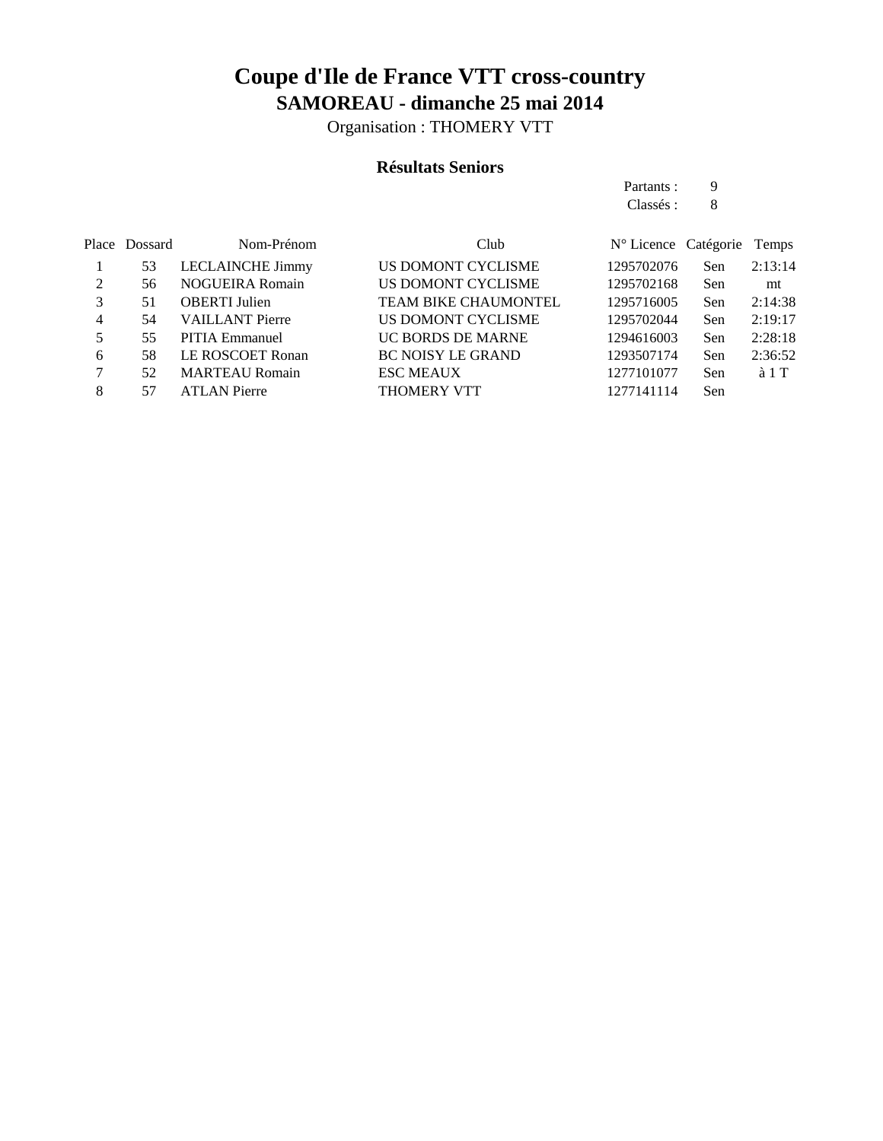Organisation : THOMERY VTT

### **Résultats Seniors**

|   |               |                         |                             | Partants :                    | 9   |         |
|---|---------------|-------------------------|-----------------------------|-------------------------------|-----|---------|
|   |               |                         |                             | Classés :                     | 8   |         |
|   | Place Dossard | Nom-Prénom              | Club                        | $N^{\circ}$ Licence Catégorie |     | Temps   |
|   | 53            | <b>LECLAINCHE Jimmy</b> | US DOMONT CYCLISME          | 1295702076                    | Sen | 2:13:14 |
| 2 | 56            | <b>NOGUEIRA Romain</b>  | US DOMONT CYCLISME          | 1295702168                    | Sen | mt      |
| 3 | 51            | <b>OBERTI</b> Julien    | <b>TEAM BIKE CHAUMONTEL</b> | 1295716005                    | Sen | 2:14:38 |
| 4 | 54            | <b>VAILLANT</b> Pierre  | US DOMONT CYCLISME          | 1295702044                    | Sen | 2:19:17 |
| 5 | 55            | PITIA Emmanuel          | <b>UC BORDS DE MARNE</b>    | 1294616003                    | Sen | 2:28:18 |
| 6 | 58            | LE ROSCOET Ronan        | <b>BC NOISY LE GRAND</b>    | 1293507174                    | Sen | 2:36:52 |
| 7 | 52            | <b>MARTEAU Romain</b>   | <b>ESC MEAUX</b>            | 1277101077                    | Sen | à 1 T   |
| 8 | 57            | <b>ATLAN Pierre</b>     | THOMERY VTT                 | 1277141114                    | Sen |         |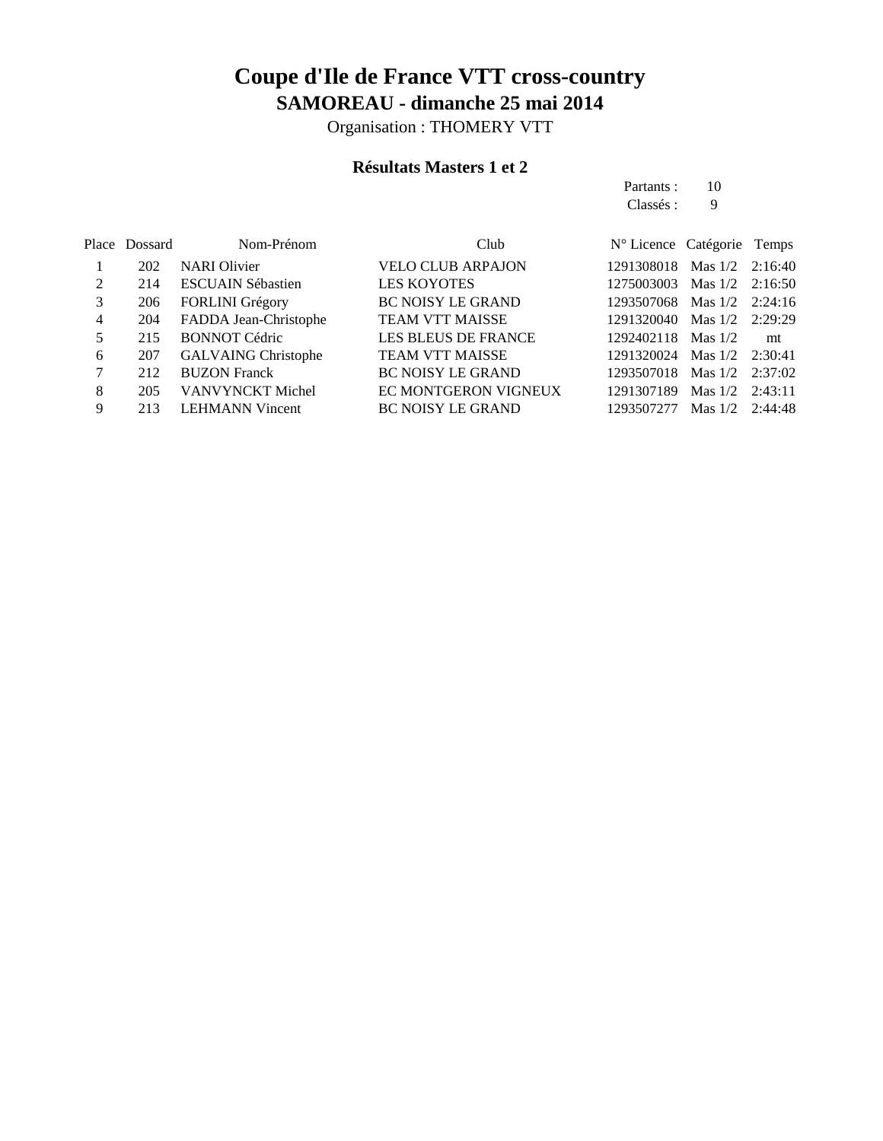Organisation : THOMERY VTT

### **Résultats Masters 1 et 2**

Partants : 10 Classés : 9

|   | Place Dossard | Nom-Prénom                 | Club                       | N° Licence Catégorie Temps |                   |         |
|---|---------------|----------------------------|----------------------------|----------------------------|-------------------|---------|
|   | 202           | <b>NARI</b> Olivier        | <b>VELO CLUB ARPAJON</b>   | 1291308018                 | Mas $1/2$ 2:16:40 |         |
| 2 | 214           | <b>ESCUAIN Sébastien</b>   | <b>LES KOYOTES</b>         | 1275003003                 | Mas $1/2$ 2:16:50 |         |
| 3 | 206           | <b>FORLINI</b> Grégory     | <b>BC NOISY LE GRAND</b>   | 1293507068                 | Mas $1/2$ 2:24:16 |         |
| 4 | 204           | FADDA Jean-Christophe      | <b>TEAM VTT MAISSE</b>     | 1291320040                 | Mas $1/2$         | 2:29:29 |
| 5 | 215           | <b>BONNOT Cédric</b>       | <b>LES BLEUS DE FRANCE</b> | 1292402118                 | Mas $1/2$         | mt      |
| 6 | 207           | <b>GALVAING Christophe</b> | <b>TEAM VTT MAISSE</b>     | 1291320024 Mas 1/2         |                   | 2:30:41 |
| 7 | 212           | <b>BUZON Franck</b>        | <b>BC NOISY LE GRAND</b>   | 1293507018                 | Mas $1/2$         | 2:37:02 |
| 8 | 205           | VANVYNCKT Michel           | EC MONTGERON VIGNEUX       | 1291307189                 | $Mas$ 1/2         | 2:43:11 |
| 9 | 213           | <b>LEHMANN Vincent</b>     | <b>BC NOISY LE GRAND</b>   | 1293507277                 | Mas $1/2$         | 2:44:48 |
|   |               |                            |                            |                            |                   |         |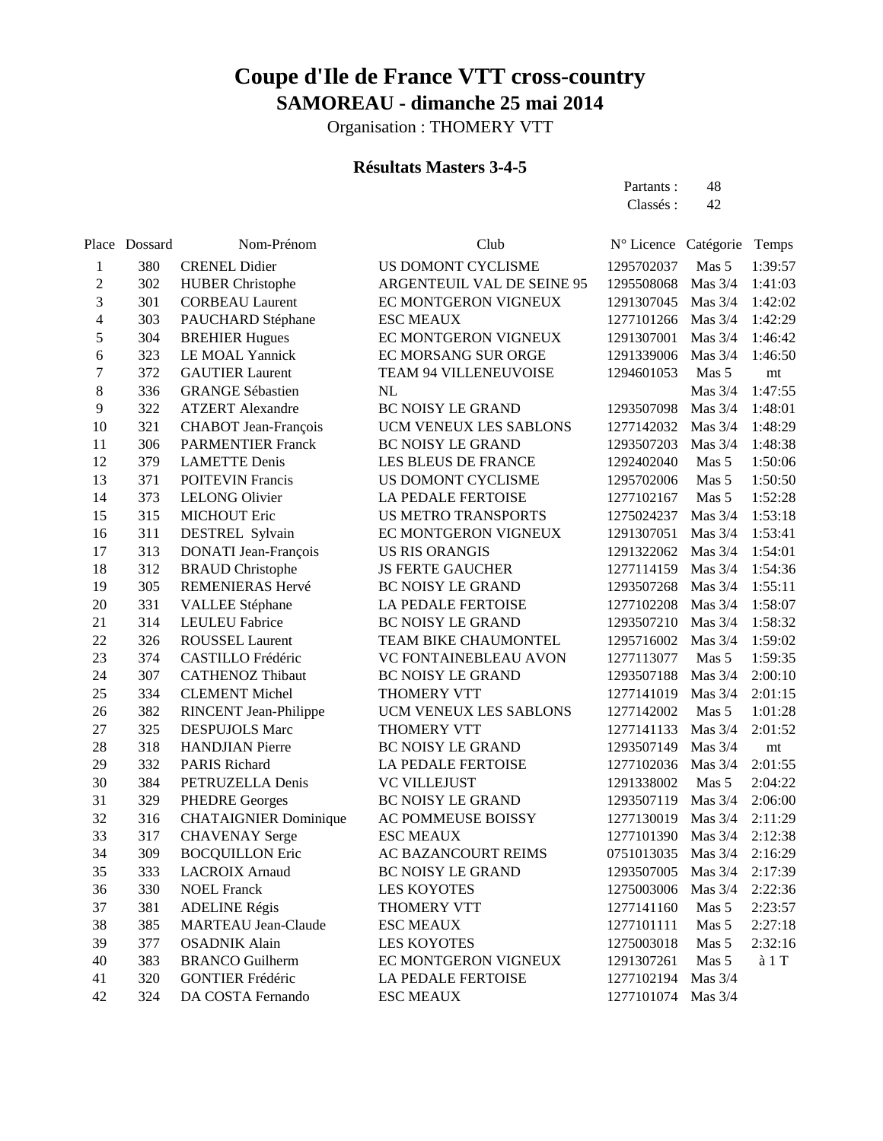Organisation : THOMERY VTT

### **Résultats Masters 3-4-5**

Partants : 48 Classés : 42

|                          | Place Dossard | Nom-Prénom                   | Club                       | N° Licence Catégorie |           | Temps            |
|--------------------------|---------------|------------------------------|----------------------------|----------------------|-----------|------------------|
| 1                        | 380           | <b>CRENEL Didier</b>         | US DOMONT CYCLISME         | 1295702037           | Mas 5     | 1:39:57          |
| $\overline{c}$           | 302           | <b>HUBER Christophe</b>      | ARGENTEUIL VAL DE SEINE 95 | 1295508068           | Mas 3/4   | 1:41:03          |
| 3                        | 301           | <b>CORBEAU Laurent</b>       | EC MONTGERON VIGNEUX       | 1291307045           | Mas $3/4$ | 1:42:02          |
| $\overline{\mathcal{L}}$ | 303           | PAUCHARD Stéphane            | <b>ESC MEAUX</b>           | 1277101266           | Mas $3/4$ | 1:42:29          |
| 5                        | 304           | <b>BREHIER Hugues</b>        | EC MONTGERON VIGNEUX       | 1291307001           | Mas $3/4$ | 1:46:42          |
| 6                        | 323           | LE MOAL Yannick              | EC MORSANG SUR ORGE        | 1291339006           | Mas $3/4$ | 1:46:50          |
| $\boldsymbol{7}$         | 372           | <b>GAUTIER Laurent</b>       | TEAM 94 VILLENEUVOISE      | 1294601053           | Mas 5     | mt               |
| 8                        | 336           | <b>GRANGE Sébastien</b>      | NL                         |                      | Mas $3/4$ | 1:47:55          |
| 9                        | 322           | <b>ATZERT</b> Alexandre      | BC NOISY LE GRAND          | 1293507098           | Mas $3/4$ | 1:48:01          |
| 10                       | 321           | CHABOT Jean-François         | UCM VENEUX LES SABLONS     | 1277142032           | Mas 3/4   | 1:48:29          |
| 11                       | 306           | <b>PARMENTIER Franck</b>     | <b>BC NOISY LE GRAND</b>   | 1293507203           | Mas 3/4   | 1:48:38          |
| 12                       | 379           | <b>LAMETTE Denis</b>         | LES BLEUS DE FRANCE        | 1292402040           | Mas 5     | 1:50:06          |
| 13                       | 371           | <b>POITEVIN Francis</b>      | US DOMONT CYCLISME         | 1295702006           | Mas 5     | 1:50:50          |
| 14                       | 373           | <b>LELONG Olivier</b>        | LA PEDALE FERTOISE         | 1277102167           | Mas 5     | 1:52:28          |
| 15                       | 315           | <b>MICHOUT Eric</b>          | <b>US METRO TRANSPORTS</b> | 1275024237           | Mas $3/4$ | 1:53:18          |
| 16                       | 311           | DESTREL Sylvain              | EC MONTGERON VIGNEUX       | 1291307051           | Mas $3/4$ | 1:53:41          |
| 17                       | 313           | DONATI Jean-François         | <b>US RIS ORANGIS</b>      | 1291322062           | Mas 3/4   | 1:54:01          |
| 18                       | 312           | <b>BRAUD</b> Christophe      | <b>JS FERTE GAUCHER</b>    | 1277114159           | Mas 3/4   | 1:54:36          |
| 19                       | 305           | REMENIERAS Hervé             | <b>BC NOISY LE GRAND</b>   | 1293507268           | Mas 3/4   | 1:55:11          |
| 20                       | 331           | VALLEE Stéphane              | LA PEDALE FERTOISE         | 1277102208           | Mas $3/4$ | 1:58:07          |
| 21                       | 314           | <b>LEULEU Fabrice</b>        | BC NOISY LE GRAND          | 1293507210           | Mas $3/4$ | 1:58:32          |
| 22                       | 326           | <b>ROUSSEL Laurent</b>       | TEAM BIKE CHAUMONTEL       | 1295716002           | Mas $3/4$ | 1:59:02          |
| 23                       | 374           | CASTILLO Frédéric            | VC FONTAINEBLEAU AVON      | 1277113077           | Mas 5     | 1:59:35          |
| 24                       | 307           | <b>CATHENOZ Thibaut</b>      | <b>BC NOISY LE GRAND</b>   | 1293507188           | Mas $3/4$ | 2:00:10          |
| 25                       | 334           | <b>CLEMENT Michel</b>        | THOMERY VTT                | 1277141019           | Mas $3/4$ | 2:01:15          |
| 26                       | 382           | RINCENT Jean-Philippe        | UCM VENEUX LES SABLONS     | 1277142002           | Mas 5     | 1:01:28          |
| 27                       | 325           | <b>DESPUJOLS Marc</b>        | THOMERY VTT                | 1277141133           | Mas $3/4$ | 2:01:52          |
| 28                       | 318           | <b>HANDJIAN</b> Pierre       | <b>BC NOISY LE GRAND</b>   | 1293507149           | Mas $3/4$ | mt               |
| 29                       | 332           | <b>PARIS Richard</b>         | LA PEDALE FERTOISE         | 1277102036           | Mas $3/4$ | 2:01:55          |
| 30                       | 384           | PETRUZELLA Denis             | <b>VC VILLEJUST</b>        | 1291338002           | Mas 5     | 2:04:22          |
| 31                       | 329           | <b>PHEDRE Georges</b>        | <b>BC NOISY LE GRAND</b>   | 1293507119           | Mas 3/4   | 2:06:00          |
| 32                       | 316           | <b>CHATAIGNIER Dominique</b> | AC POMMEUSE BOISSY         | 1277130019           | Mas 3/4   | 2:11:29          |
| 33                       | 317           | <b>CHAVENAY Serge</b>        | <b>ESC MEAUX</b>           | 1277101390           | Mas 3/4   | 2:12:38          |
| 34                       | 309           | <b>BOCQUILLON Eric</b>       | AC BAZANCOURT REIMS        | 0751013035           | Mas 3/4   | 2:16:29          |
| 35                       | 333           | <b>LACROIX Arnaud</b>        | <b>BC NOISY LE GRAND</b>   | 1293507005           | Mas $3/4$ | 2:17:39          |
| 36                       | 330           | <b>NOEL Franck</b>           | <b>LES KOYOTES</b>         | 1275003006           | Mas 3/4   | 2:22:36          |
| 37                       | 381           | <b>ADELINE Régis</b>         | THOMERY VTT                | 1277141160           | Mas 5     | 2:23:57          |
| 38                       | 385           | <b>MARTEAU</b> Jean-Claude   | <b>ESC MEAUX</b>           | 1277101111           | Mas 5     | 2:27:18          |
| 39                       | 377           | <b>OSADNIK Alain</b>         | <b>LES KOYOTES</b>         | 1275003018           | Mas 5     | 2:32:16          |
| 40                       | 383           | <b>BRANCO</b> Guilherm       | EC MONTGERON VIGNEUX       | 1291307261           | Mas 5     | a <sub>1</sub> T |
| 41                       | 320           | <b>GONTIER Frédéric</b>      | LA PEDALE FERTOISE         | 1277102194           | Mas 3/4   |                  |
| 42                       | 324           | DA COSTA Fernando            | <b>ESC MEAUX</b>           | 1277101074           | Mas $3/4$ |                  |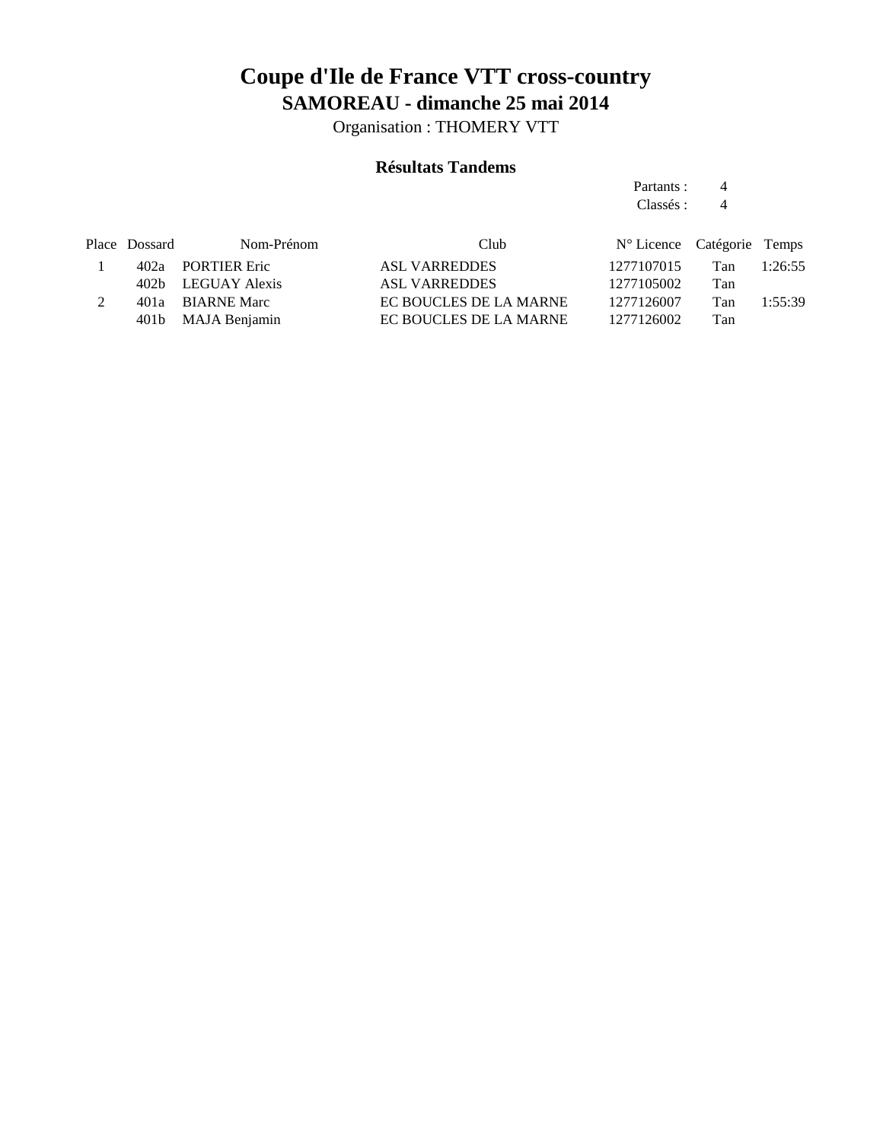Organisation : THOMERY VTT

### **Résultats Tandems**

Partants : 4 Classés : 4

| Place Dossard | Nom-Prénom         | Club                   | N° Licence Catégorie Temps |     |         |
|---------------|--------------------|------------------------|----------------------------|-----|---------|
|               | 402a PORTIER Eric  | ASL VARREDDES          | 1277107015                 | Tan | 1:26:55 |
|               | 402b LEGUAY Alexis | <b>ASL VARREDDES</b>   | 1277105002                 | Tan |         |
|               | 401a BIARNE Marc   | EC BOUCLES DE LA MARNE | 1277126007                 | Tan | 1:55:39 |
|               | 401b MAJA Benjamin | EC BOUCLES DE LA MARNE | 1277126002                 | Tan |         |